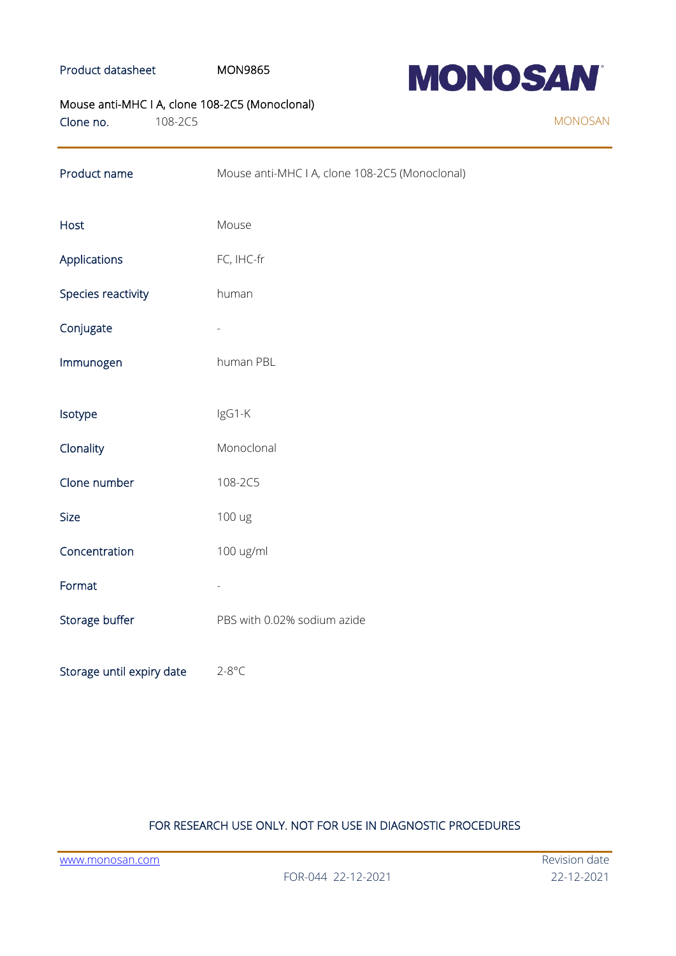#### Product datasheet MON9865



## Mouse anti-MHC I A, clone 108-2C5 (Monoclonal)

Clone no. 108-2C5

| Product name              | Mouse anti-MHC I A, clone 108-2C5 (Monoclonal) |
|---------------------------|------------------------------------------------|
| Host                      | Mouse                                          |
| Applications              | FC, IHC-fr                                     |
| Species reactivity        | human                                          |
| Conjugate                 |                                                |
| Immunogen                 | human PBL                                      |
| Isotype                   | IgG1-K                                         |
| Clonality                 | Monoclonal                                     |
| Clone number              | 108-2C5                                        |
| <b>Size</b>               | 100 ug                                         |
| Concentration             | 100 ug/ml                                      |
| Format                    |                                                |
| Storage buffer            | PBS with 0.02% sodium azide                    |
| Storage until expiry date | $2-8$ °C                                       |

### FOR RESEARCH USE ONLY. NOT FOR USE IN DIAGNOSTIC PROCEDURES